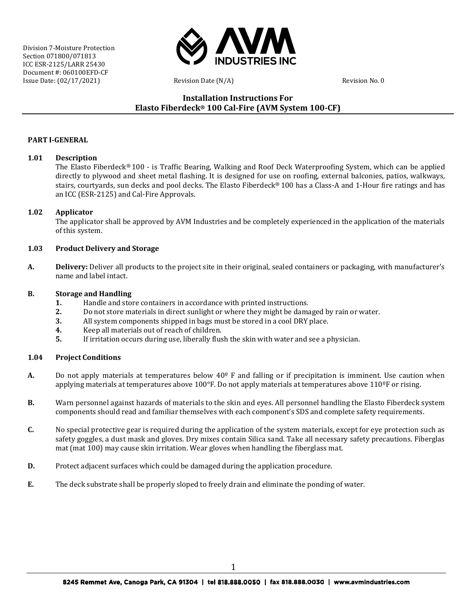

# **Installation Instructions For Elasto Fiberdeck® 100 Cal-Fire (AVM System 100-CF)**

## **PART I-GENERAL**

#### **1.01 Description**

The Elasto Fiberdeck® 100 - is Traffic Bearing, Walking and Roof Deck Waterproofing System, which can be applied directly to plywood and sheet metal flashing. It is designed for use on roofing, external balconies, patios, walkways, stairs, courtyards, sun decks and pool decks. The Elasto Fiberdeck® 100 has a Class-A and 1-Hour fire ratings and has an ICC (ESR-2125) and Cal-Fire Approvals.

#### **1.02 Applicator**

The applicator shall be approved by AVM Industries and be completely experienced in the application of the materials of this system.

#### **1.03 Product Delivery and Storage**

**A. Delivery:** Deliver all products to the project site in their original, sealed containers or packaging, with manufacturer's name and label intact.

#### **B. Storage and Handling**

- **1.** Handle and store containers in accordance with printed instructions.<br>**2.** Do not store materials in direct sunlight or where they might be dama
- **2.** Do not store materials in direct sunlight or where they might be damaged by rain or water.<br>**3.** All system components shipped in bags must be stored in a cool DRY place.
- **3.** All system components shipped in bags must be stored in a cool DRY place.<br>**4.** Keep all materials out of reach of children.
- **4.** Keep all materials out of reach of children.<br>**5.** If irritation occurs during use, liberally flus
- **5.** If irritation occurs during use, liberally flush the skin with water and see a physician.

#### **1.04 Project Conditions**

- **A.** Do not apply materials at temperatures below  $40^{\circ}$  F and falling or if precipitation is imminent. Use caution when applying materials at temperatures above  $100^{\circ}$ F. Do not apply materials at temperatures above  $110^{\circ}$ F or rising.
- **B.** Warn personnel against hazards of materials to the skin and eyes. All personnel handling the Elasto Fiberdeck system components should read and familiar themselves with each component's SDS and complete safety requirements.
- **C.** No special protective gear is required during the application of the system materials, except for eye protection such as safety goggles, a dust mask and gloves. Dry mixes contain Silica sand. Take all necessary safety precautions. Fiberglas mat (mat 100) may cause skin irritation. Wear gloves when handling the fiberglass mat.
- **D.** Protect adjacent surfaces which could be damaged during the application procedure.
- **E.** The deck substrate shall be properly sloped to freely drain and eliminate the ponding of water.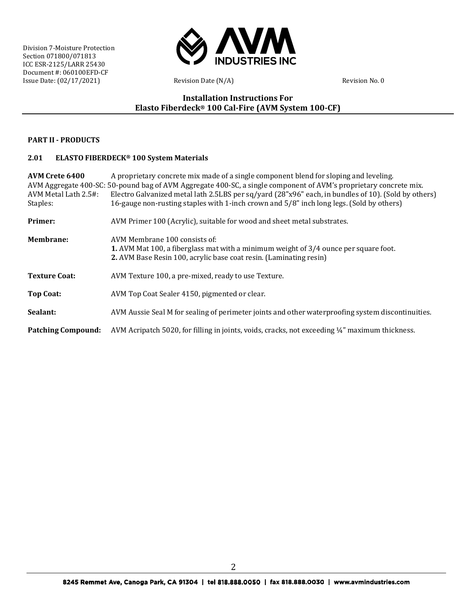

# **Installation Instructions For Elasto Fiberdeck® 100 Cal-Fire (AVM System 100-CF)**

## **PART II - PRODUCTS**

#### **2.01 ELASTO FIBERDECK® 100 System Materials**

**AVM Crete 6400** A proprietary concrete mix made of a single component blend for sloping and leveling. AVM Aggregate 400-SC: 50-pound bag of AVM Aggregate 400-SC, a single component of AVM's proprietary concrete mix.<br>AVM Metal Lath 2.5#: Electro Galvanized metal lath 2.5LBS per sq/yard (28"x96" each, in bundles of 10). (Sol AVM Metal Lath 2.5#: Electro Galvanized metal lath 2.5LBS per sq/yard (28"x96" each, in bundles of 10). (Sold by others)<br>Staples: (Sold by others)<br> $16$ -gauge non-rusting staples with 1-inch crown and 5/8" inch long legs. ( 16-gauge non-rusting staples with 1-inch crown and  $5/8$ " inch long legs. (Sold by others) **Primer:** AVM Primer 100 (Acrylic), suitable for wood and sheet metal substrates. **Membrane:** AVM Membrane 100 consists of: **1.** AVM Mat 100, a fiberglass mat with a minimum weight of 3/4 ounce per square foot. **2.** AVM Base Resin 100, acrylic base coat resin. (Laminating resin) **Texture Coat:** AVM Texture 100, a pre-mixed, ready to use Texture. **Top Coat:** AVM Top Coat Sealer 4150, pigmented or clear. **Sealant:** AVM Aussie Seal M for sealing of perimeter joints and other waterproofing system discontinuities. **Patching Compound:** AVM Acripatch 5020, for filling in joints, voids, cracks, not exceeding ¼" maximum thickness.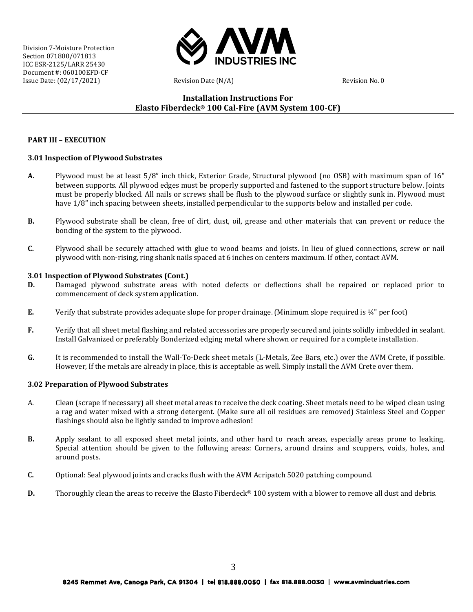

# **Installation Instructions For Elasto Fiberdeck® 100 Cal-Fire (AVM System 100-CF)**

## **PART III – EXECUTION**

## **3.01 Inspection of Plywood Substrates**

- **A.** Plywood must be at least 5/8" inch thick, Exterior Grade, Structural plywood (no OSB) with maximum span of 16" between supports. All plywood edges must be properly supported and fastened to the support structure below. Joints must be properly blocked. All nails or screws shall be flush to the plywood surface or slightly sunk in. Plywood must have 1/8" inch spacing between sheets, installed perpendicular to the supports below and installed per code.
- **B.** Plywood substrate shall be clean, free of dirt, dust, oil, grease and other materials that can prevent or reduce the bonding of the system to the plywood.
- **C.** Plywood shall be securely attached with glue to wood beams and joists. In lieu of glued connections, screw or nail plywood with non-rising, ring shank nails spaced at 6 inches on centers maximum. If other, contact AVM.

## **3.01 Inspection of Plywood Substrates (Cont.)**

- **D.** Damaged plywood substrate areas with noted defects or deflections shall be repaired or replaced prior to commencement of deck system application.
- **E.** Verify that substrate provides adequate slope for proper drainage. (Minimum slope required is ¼" per foot)
- **F.** Verify that all sheet metal flashing and related accessories are properly secured and joints solidly imbedded in sealant. Install Galvanized or preferably Bonderized edging metal where shown or required for a complete installation.
- **G.** It is recommended to install the Wall-To-Deck sheet metals (L-Metals, Zee Bars, etc.) over the AVM Crete, if possible. However, If the metals are already in place, this is acceptable as well. Simply install the AVM Crete over them.

## **3.02 Preparation of Plywood Substrates**

- A. Clean (scrape if necessary) all sheet metal areas to receive the deck coating. Sheet metals need to be wiped clean using a rag and water mixed with a strong detergent. (Make sure all oil residues are removed) Stainless Steel and Copper flashings should also be lightly sanded to improve adhesion!
- **B.** Apply sealant to all exposed sheet metal joints, and other hard to reach areas, especially areas prone to leaking. Special attention should be given to the following areas: Corners, around drains and scuppers, voids, holes, and around posts.
- **C.** Optional: Seal plywood joints and cracks flush with the AVM Acripatch 5020 patching compound.
- **D.** Thoroughly clean the areas to receive the Elasto Fiberdeck<sup>®</sup> 100 system with a blower to remove all dust and debris.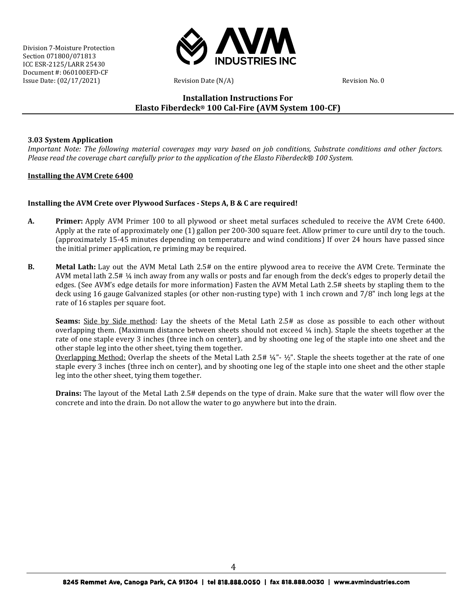

# **Installation Instructions For Elasto Fiberdeck® 100 Cal-Fire (AVM System 100-CF)**

## **3.03 System Application**

Important Note: The following material coverages may vary based on job conditions, Substrate conditions and other factors. *Please read the coverage chart carefully prior to the application of the Elasto Fiberdeck® 100 System.*

## **Installing the AVM Crete 6400**

## **Installing the AVM Crete over Plywood Surfaces - Steps A, B & C are required!**

- **A. Primer:** Apply AVM Primer 100 to all plywood or sheet metal surfaces scheduled to receive the AVM Crete 6400. Apply at the rate of approximately one (1) gallon per 200-300 square feet. Allow primer to cure until dry to the touch. (approximately 15-45 minutes depending on temperature and wind conditions) If over 24 hours have passed since the initial primer application, re priming may be required.
- **B. Metal Lath:** Lay out the AVM Metal Lath 2.5# on the entire plywood area to receive the AVM Crete. Terminate the AVM metal lath 2.5# ¼ inch away from any walls or posts and far enough from the deck's edges to properly detail the edges. (See AVM's edge details for more information) Fasten the AVM Metal Lath 2.5# sheets by stapling them to the deck using 16 gauge Galvanized staples (or other non-rusting type) with 1 inch crown and 7/8" inch long legs at the rate of 16 staples per square foot.

**Seams:** Side by Side method: Lay the sheets of the Metal Lath 2.5# as close as possible to each other without overlapping them. (Maximum distance between sheets should not exceed ¼ inch). Staple the sheets together at the rate of one staple every 3 inches (three inch on center), and by shooting one leg of the staple into one sheet and the other staple leg into the other sheet, tying them together.

Overlapping Method: Overlap the sheets of the Metal Lath 2.5# ¼"- ½". Staple the sheets together at the rate of one staple every 3 inches (three inch on center), and by shooting one leg of the staple into one sheet and the other staple leg into the other sheet, tying them together.

**Drains:** The layout of the Metal Lath 2.5# depends on the type of drain. Make sure that the water will flow over the concrete and into the drain. Do not allow the water to go anywhere but into the drain.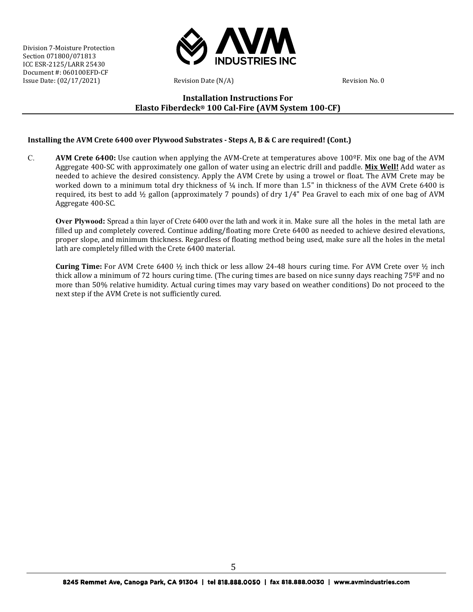

# **Installation Instructions For Elasto Fiberdeck® 100 Cal-Fire (AVM System 100-CF)**

## **Installing the AVM Crete 6400 over Plywood Substrates - Steps A, B & C are required! (Cont.)**

C. **AVM Crete 6400:** Use caution when applying the AVM-Crete at temperatures above 100ºF. Mix one bag of the AVM Aggregate 400-SC with approximately one gallon of water using an electric drill and paddle. **Mix Well!** Add water as needed to achieve the desired consistency. Apply the AVM Crete by using a trowel or float. The AVM Crete may be worked down to a minimum total dry thickness of  $\frac{1}{4}$  inch. If more than 1.5" in thickness of the AVM Crete 6400 is required, its best to add ½ gallon (approximately 7 pounds) of dry 1/4" Pea Gravel to each mix of one bag of AVM Aggregate 400-SC.

**Over Plywood:** Spread a thin layer of Crete 6400 over the lath and work it in. Make sure all the holes in the metal lath are filled up and completely covered. Continue adding/floating more Crete 6400 as needed to achieve desired elevations, proper slope, and minimum thickness. Regardless of floating method being used, make sure all the holes in the metal lath are completely filled with the Crete 6400 material.

**Curing Time:** For AVM Crete 6400 ½ inch thick or less allow 24-48 hours curing time. For AVM Crete over ½ inch thick allow a minimum of 72 hours curing time. (The curing times are based on nice sunny days reaching 75ºF and no more than 50% relative humidity. Actual curing times may vary based on weather conditions) Do not proceed to the next step if the AVM Crete is not sufficiently cured.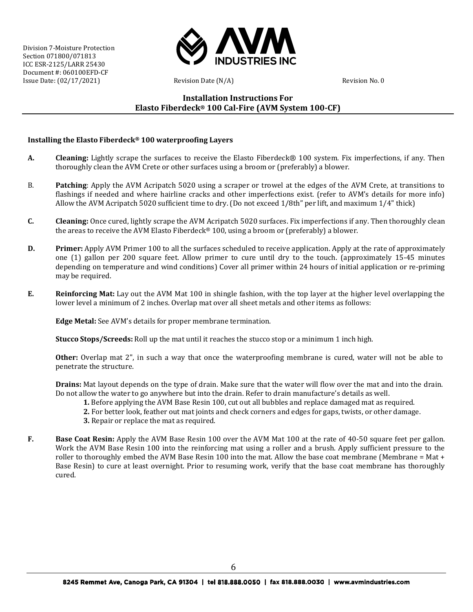

# **Installation Instructions For Elasto Fiberdeck® 100 Cal-Fire (AVM System 100-CF)**

## **Installing the Elasto Fiberdeck® 100 waterproofing Layers**

- **A. Cleaning:** Lightly scrape the surfaces to receive the Elasto Fiberdeck® 100 system. Fix imperfections, if any. Then thoroughly clean the AVM Crete or other surfaces using a broom or (preferably) a blower.
- B. **Patching**: Apply the AVM Acripatch 5020 using a scraper or trowel at the edges of the AVM Crete, at transitions to flashings if needed and where hairline cracks and other imperfections exist. (refer to AVM's details for more info) Allow the AVM Acripatch 5020 sufficient time to dry. (Do not exceed 1/8th" per lift, and maximum 1/4" thick)
- **C. Cleaning:** Once cured, lightly scrape the AVM Acripatch 5020 surfaces. Fix imperfections if any. Then thoroughly clean the areas to receive the AVM Elasto Fiberdeck<sup>®</sup> 100, using a broom or (preferably) a blower.
- **D. Primer:** Apply AVM Primer 100 to all the surfaces scheduled to receive application. Apply at the rate of approximately one (1) gallon per 200 square feet. Allow primer to cure until dry to the touch. (approximately 15-45 minutes depending on temperature and wind conditions) Cover all primer within 24 hours of initial application or re-priming may be required.
- **E. Reinforcing Mat:** Lay out the AVM Mat 100 in shingle fashion, with the top layer at the higher level overlapping the lower level a minimum of 2 inches. Overlap mat over all sheet metals and other items as follows:

**Edge Metal:** See AVM's details for proper membrane termination.

**Stucco Stops/Screeds:** Roll up the mat until it reaches the stucco stop or a minimum 1 inch high.

**Other:** Overlap mat 2", in such a way that once the waterproofing membrane is cured, water will not be able to penetrate the structure.

**Drains:** Mat layout depends on the type of drain. Make sure that the water will flow over the mat and into the drain. Do not allow the water to go anywhere but into the drain. Refer to drain manufacture's details as well.

- **1.** Before applying the AVM Base Resin 100, cut out all bubbles and replace damaged mat as required.
- **2.** For better look, feather out mat joints and check corners and edges for gaps, twists, or other damage.
- **3.** Repair or replace the mat as required.
- **F. Base Coat Resin:** Apply the AVM Base Resin 100 over the AVM Mat 100 at the rate of 40-50 square feet per gallon. Work the AVM Base Resin 100 into the reinforcing mat using a roller and a brush. Apply sufficient pressure to the roller to thoroughly embed the AVM Base Resin 100 into the mat. Allow the base coat membrane (Membrane = Mat + Base Resin) to cure at least overnight. Prior to resuming work, verify that the base coat membrane has thoroughly cured.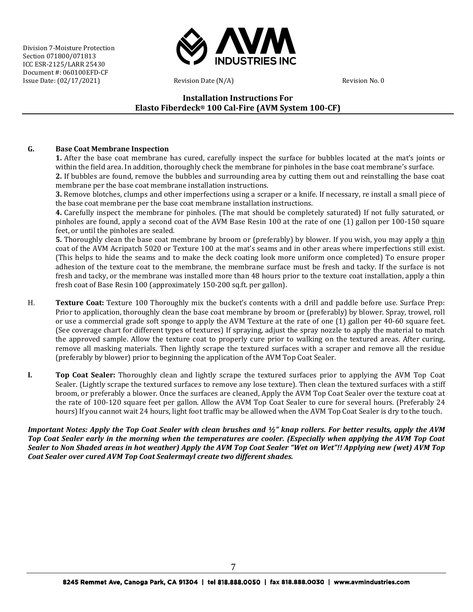

# **Installation Instructions For Elasto Fiberdeck® 100 Cal-Fire (AVM System 100-CF)**

## **G. Base Coat Membrane Inspection**

**1.** After the base coat membrane has cured, carefully inspect the surface for bubbles located at the mat's joints or within the field area. In addition, thoroughly check the membrane for pinholes in the base coat membrane's surface.

**2.** If bubbles are found, remove the bubbles and surrounding area by cutting them out and reinstalling the base coat membrane per the base coat membrane installation instructions.

**3.** Remove blotches, clumps and other imperfections using a scraper or a knife. If necessary, re install a small piece of the base coat membrane per the base coat membrane installation instructions.

**4.** Carefully inspect the membrane for pinholes. (The mat should be completely saturated) If not fully saturated, or pinholes are found, apply a second coat of the AVM Base Resin 100 at the rate of one (1) gallon per 100-150 square feet, or until the pinholes are sealed.

**5.** Thoroughly clean the base coat membrane by broom or (preferably) by blower. If you wish, you may apply a thin coat of the AVM Acripatch 5020 or Texture 100 at the mat's seams and in other areas where imperfections still exist. (This helps to hide the seams and to make the deck coating look more uniform once completed) To ensure proper adhesion of the texture coat to the membrane, the membrane surface must be fresh and tacky. If the surface is not fresh and tacky, or the membrane was installed more than 48 hours prior to the texture coat installation, apply a thin fresh coat of Base Resin 100 (approximately 150-200 sq.ft. per gallon).

- H. **Texture Coat:** Texture 100 Thoroughly mix the bucket's contents with a drill and paddle before use. Surface Prep: Prior to application, thoroughly clean the base coat membrane by broom or (preferably) by blower. Spray, trowel, roll or use a commercial grade soft sponge to apply the AVM Texture at the rate of one (1) gallon per 40-60 square feet. (See coverage chart for different types of textures) If spraying, adjust the spray nozzle to apply the material to match the approved sample. Allow the texture coat to properly cure prior to walking on the textured areas. After curing, remove all masking materials. Then lightly scrape the textured surfaces with a scraper and remove all the residue (preferably by blower) prior to beginning the application of the AVM Top Coat Sealer.
- **I. Top Coat Sealer:** Thoroughly clean and lightly scrape the textured surfaces prior to applying the AVM Top Coat Sealer. (Lightly scrape the textured surfaces to remove any lose texture). Then clean the textured surfaces with a stiff broom, or preferably a blower. Once the surfaces are cleaned, Apply the AVM Top Coat Sealer over the texture coat at the rate of 100-120 square feet per gallon. Allow the AVM Top Coat Sealer to cure for several hours. (Preferably 24 hours) If you cannot wait 24 hours, light foot traffic may be allowed when the AVM Top Coat Sealer is dry to the touch.

*Important Notes: Apply the Top Coat Sealer with clean brushes and ½" knap rollers. For better results, apply the AVM Top Coat Sealer early in the morning when the temperatures are cooler. (Especially when applying the AVM Top Coat Sealer to Non Shaded areas in hot weather) Apply the AVM Top Coat Sealer "Wet on Wet"!! Applying new (wet) AVM Top Coat Sealer over cured AVM Top Coat Sealermayl create two different shades.*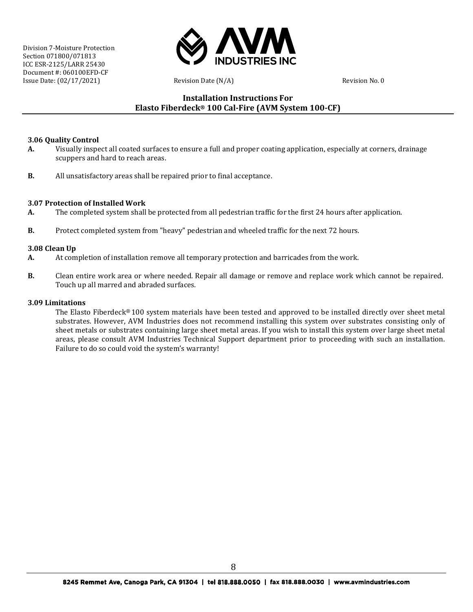

# **Installation Instructions For Elasto Fiberdeck® 100 Cal-Fire (AVM System 100-CF)**

## **3.06 Quality Control**

- **A.** Visually inspect all coated surfaces to ensure a full and proper coating application, especially at corners, drainage scuppers and hard to reach areas.
- **B.** All unsatisfactory areas shall be repaired prior to final acceptance.

## **3.07 Protection of Installed Work**

- **A.** The completed system shall be protected from all pedestrian traffic for the first 24 hours after application.
- **B.** Protect completed system from "heavy" pedestrian and wheeled traffic for the next 72 hours.

## **3.08 Clean Up**

- **A.** At completion of installation remove all temporary protection and barricades from the work.
- **B.** Clean entire work area or where needed. Repair all damage or remove and replace work which cannot be repaired. Touch up all marred and abraded surfaces.

## **3.09 Limitations**

The Elasto Fiberdeck® 100 system materials have been tested and approved to be installed directly over sheet metal substrates. However, AVM Industries does not recommend installing this system over substrates consisting only of sheet metals or substrates containing large sheet metal areas. If you wish to install this system over large sheet metal areas, please consult AVM Industries Technical Support department prior to proceeding with such an installation. Failure to do so could void the system's warranty!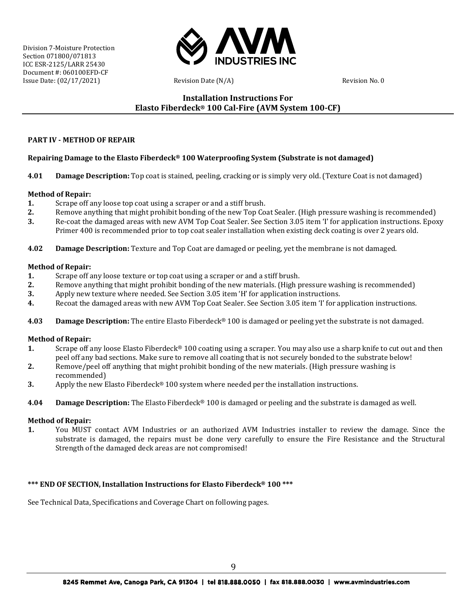

# **Installation Instructions For Elasto Fiberdeck® 100 Cal-Fire (AVM System 100-CF)**

## **PART IV - METHOD OF REPAIR**

## **Repairing Damage to the Elasto Fiberdeck® 100 Waterproofing System (Substrate is not damaged)**

**4.01 Damage Description:** Top coat is stained, peeling, cracking or is simply very old. (Texture Coat is not damaged)

#### **Method of Repair:**

- **1.** Scrape off any loose top coat using a scraper or and a stiff brush.<br>**2.** Remove anything that might prohibit bonding of the new Top Co.
- **2.** Remove anything that might prohibit bonding of the new Top Coat Sealer. (High pressure washing is recommended)<br>**3.** Re-coat the damaged areas with new AVM Top Coat Sealer. See Section 3.05 item 'I' for application ins
- **3.** Re-coat the damaged areas with new AVM Top Coat Sealer. See Section 3.05 item 'I' for application instructions. Epoxy Primer 400 is recommended prior to top coat sealer installation when existing deck coating is over 2 years old.
- **4.02 Damage Description:** Texture and Top Coat are damaged or peeling, yet the membrane is not damaged.

#### **Method of Repair:**

- **1.** Scrape off any loose texture or top coat using a scraper or and a stiff brush.<br>**2.** Remove anything that might prohibit bonding of the new materials. (High problem)
- **2.** Remove anything that might prohibit bonding of the new materials. (High pressure washing is recommended)<br>**3.** Apply new texture where needed. See Section 3.05 item 'H' for application instructions.
- **3.** Apply new texture where needed. See Section 3.05 item 'H' for application instructions.
- **4.** Recoat the damaged areas with new AVM Top Coat Sealer. See Section 3.05 item 'I' for application instructions.
- **4.03 Damage Description:** The entire Elasto Fiberdeck® 100 is damaged or peeling yet the substrate is not damaged.

## **Method of Repair:**

- **1.** Scrape off any loose Elasto Fiberdeck® 100 coating using a scraper. You may also use a sharp knife to cut out and then peel off any bad sections. Make sure to remove all coating that is not securely bonded to the substrate below!
- **2.** Remove/peel off anything that might prohibit bonding of the new materials. (High pressure washing is recommended)
- **3.** Apply the new Elasto Fiberdeck® 100 system where needed per the installation instructions.
- **4.04 Damage Description:** The Elasto Fiberdeck® 100 is damaged or peeling and the substrate is damaged as well.

## **Method of Repair:**

**1.** You MUST contact AVM Industries or an authorized AVM Industries installer to review the damage. Since the substrate is damaged, the repairs must be done very carefully to ensure the Fire Resistance and the Structural Strength of the damaged deck areas are not compromised!

## **\*\*\* END OF SECTION, Installation Instructions for Elasto Fiberdeck® 100 \*\*\***

See Technical Data, Specifications and Coverage Chart on following pages.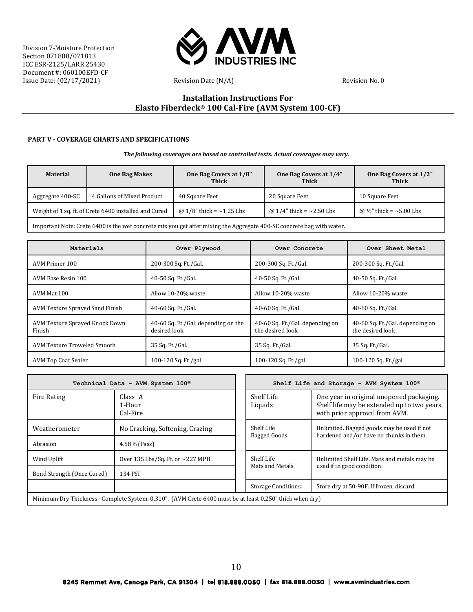

# **Installation Instructions For Elasto Fiberdeck® 100 Cal-Fire (AVM System 100-CF)**

#### **PART V - COVERAGE CHARTS AND SPECIFICATIONS**

*The following coverages are based on controlled tests. Actual coverages may vary.*

| <b>Material</b>                                       | <b>One Bag Makes</b>       | One Bag Covers at 1/8"<br><b>Thick</b> | One Bag Covers at 1/4"<br><b>Thick</b> | One Bag Covers at 1/2"<br><b>Thick</b> |
|-------------------------------------------------------|----------------------------|----------------------------------------|----------------------------------------|----------------------------------------|
| Aggregate 400-SC                                      | 4 Gallons of Mixed Product | 40 Square Feet                         | 20 Square Feet                         | 10 Square Feet                         |
| Weight of 1 sq. ft. of Crete 6400 installed and Cured |                            | @ $1/8$ " thick = $\sim$ 1.25 Lbs      | @ 1/4" thick = $\sim$ 2.50 Lbs         | @ $\frac{1}{2}$ " thick = ~5.00 Lbs    |
|                                                       |                            |                                        |                                        |                                        |

Important Note: Crete 6400 is the wet concrete mix you get after mixing the Aggregate 400-SC concrete bag with water.

| Materials                                | Over Plywood                                        | Over Concrete                                       | Over Sheet Metal                                    |  |
|------------------------------------------|-----------------------------------------------------|-----------------------------------------------------|-----------------------------------------------------|--|
| AVM Primer 100                           | 200-300 Sq. Ft./Gal.                                | 200-300 Sq. Ft./Gal.                                | 200-300 Sq. Ft./Gal.                                |  |
| AVM Base Resin 100                       | 40-50 Sq. Ft./Gal.                                  | 40-50 Sq. Ft./Gal.                                  | 40-50 Sq. Ft./Gal.                                  |  |
| AVM Mat 100                              | Allow 10-20% waste                                  | Allow 10-20% waste                                  | Allow 10-20% waste                                  |  |
| AVM Texture Sprayed Sand Finish          | 40-60 Sq. Ft./Gal.                                  | 40-60 Sq. Ft./Gal.                                  | 40-60 Sq. Ft./Gal.                                  |  |
| AVM Texture Sprayed Knock Down<br>Finish | 40-60 Sq. Ft./Gal. depending on the<br>desired look | 40-60 Sq. Ft./Gal. depending on<br>the desired look | 40-60 Sq. Ft./Gal. depending on<br>the desired look |  |
| AVM Texture Troweled Smooth              | 35 Sq. Ft./Gal.                                     | 35 Sq. Ft./Gal.                                     | 35 Sq. Ft./Gal.                                     |  |
| <b>AVM Top Coat Sealer</b>               | 100-120 Sq. Ft./gal                                 | 100-120 Sq. Ft./gal                                 | 100-120 Sq. Ft./gal                                 |  |

| Technical Data - AVM System 100® |                                                                                                          |                            | Shelf Life and Storage - AVM System 100®                                                                                |  |
|----------------------------------|----------------------------------------------------------------------------------------------------------|----------------------------|-------------------------------------------------------------------------------------------------------------------------|--|
| <b>Fire Rating</b>               | Class A<br>1-Hour<br>Cal-Fire                                                                            | Shelf Life<br>Liquids      | One year in original unopened packaging.<br>Shelf life may be extended up to two years<br>with prior approval from AVM. |  |
| Weatherometer                    | No Cracking, Softening, Crazing                                                                          | Shelf Life<br>Bagged Goods | Unlimited. Bagged goods may be used if not<br>hardened and/or have no chunks in them.                                   |  |
| Abrasion                         | 4.58% (Pass)                                                                                             |                            |                                                                                                                         |  |
| Wind Uplift                      | Over 135 Lbs/Sq. Ft. or $\sim$ 227 MPH.                                                                  | Shelf Life                 | Unlimited Shelf Life. Mats and metals may be                                                                            |  |
| Bond Strength (Once Cured)       | 134 PSI                                                                                                  | Mats and Metals            | used if in good condition.                                                                                              |  |
|                                  |                                                                                                          | <b>Storage Conditions:</b> | Store dry at 50-90F. If frozen, discard                                                                                 |  |
|                                  | Minimum Dry Thickness - Complete System: 0.310". (AVM Crete 6400 must be at least 0.250" thick when dry) |                            |                                                                                                                         |  |